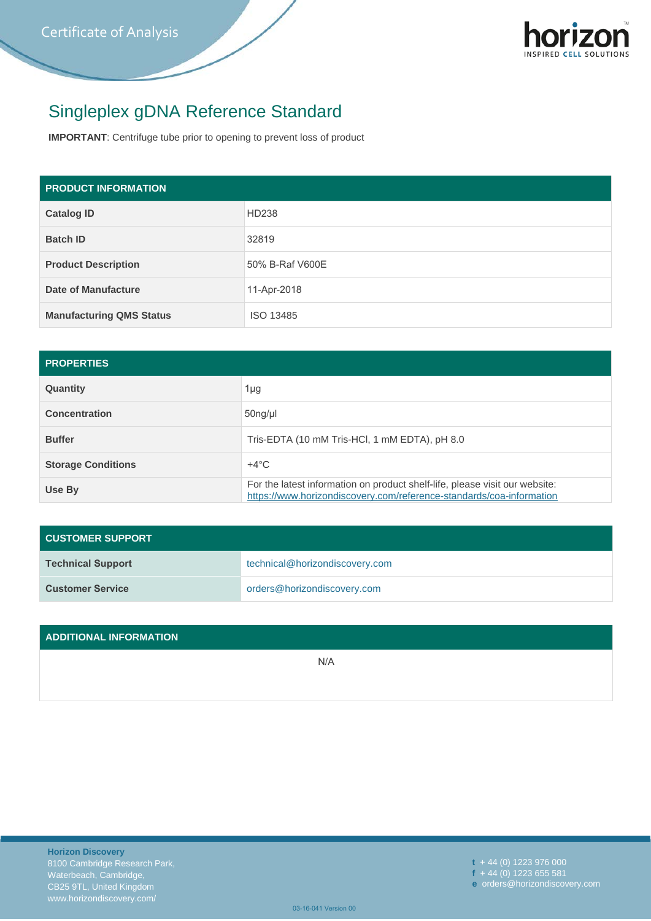

## Singleplex gDNA Reference Standard

**IMPORTANT**: Centrifuge tube prior to opening to prevent loss of product

| <b>PRODUCT INFORMATION</b>      |                 |  |
|---------------------------------|-----------------|--|
| <b>Catalog ID</b>               | HD238           |  |
| <b>Batch ID</b>                 | 32819           |  |
| <b>Product Description</b>      | 50% B-Raf V600E |  |
| Date of Manufacture             | 11-Apr-2018     |  |
| <b>Manufacturing QMS Status</b> | ISO 13485       |  |

| <b>PROPERTIES</b>         |                                                                                                                                                     |  |
|---------------------------|-----------------------------------------------------------------------------------------------------------------------------------------------------|--|
| Quantity                  | 1µg                                                                                                                                                 |  |
| <b>Concentration</b>      | $50ng/\mu$                                                                                                                                          |  |
| <b>Buffer</b>             | Tris-EDTA (10 mM Tris-HCl, 1 mM EDTA), pH 8.0                                                                                                       |  |
| <b>Storage Conditions</b> | $+4^{\circ}$ C                                                                                                                                      |  |
| Use By                    | For the latest information on product shelf-life, please visit our website:<br>https://www.horizondiscovery.com/reference-standards/coa-information |  |

| <b>CUSTOMER SUPPORT</b>  |                                |  |  |
|--------------------------|--------------------------------|--|--|
| <b>Technical Support</b> | technical@horizondiscovery.com |  |  |
| <b>Customer Service</b>  | orders@horizondiscovery.com    |  |  |

| ADDITIONAL INFORMATION |     |
|------------------------|-----|
|                        | N/A |
|                        |     |